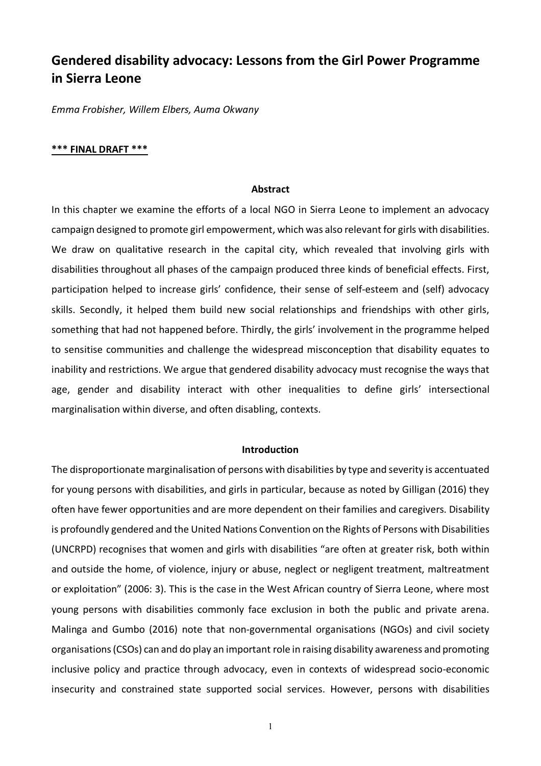# **Gendered disability advocacy: Lessons from the Girl Power Programme in Sierra Leone**

*Emma Frobisher, Willem Elbers, Auma Okwany*

#### **\*\*\* FINAL DRAFT \*\*\***

## **Abstract**

In this chapter we examine the efforts of a local NGO in Sierra Leone to implement an advocacy campaign designed to promote girl empowerment, which was also relevant for girls with disabilities. We draw on qualitative research in the capital city, which revealed that involving girls with disabilities throughout all phases of the campaign produced three kinds of beneficial effects. First, participation helped to increase girls' confidence, their sense of self-esteem and (self) advocacy skills. Secondly, it helped them build new social relationships and friendships with other girls, something that had not happened before. Thirdly, the girls' involvement in the programme helped to sensitise communities and challenge the widespread misconception that disability equates to inability and restrictions. We argue that gendered disability advocacy must recognise the ways that age, gender and disability interact with other inequalities to define girls' intersectional marginalisation within diverse, and often disabling, contexts.

#### **Introduction**

The disproportionate marginalisation of persons with disabilities by type and severity is accentuated for young persons with disabilities, and girls in particular, because as noted by Gilligan (2016) they often have fewer opportunities and are more dependent on their families and caregivers. Disability is profoundly gendered and the United Nations Convention on the Rights of Persons with Disabilities (UNCRPD) recognises that women and girls with disabilities "are often at greater risk, both within and outside the home, of violence, injury or abuse, neglect or negligent treatment, maltreatment or exploitation" (2006: 3). This is the case in the West African country of Sierra Leone, where most young persons with disabilities commonly face exclusion in both the public and private arena. Malinga and Gumbo (2016) note that non-governmental organisations (NGOs) and civil society organisations(CSOs) can and do play an important role in raising disability awareness and promoting inclusive policy and practice through advocacy, even in contexts of widespread socio-economic insecurity and constrained state supported social services. However, persons with disabilities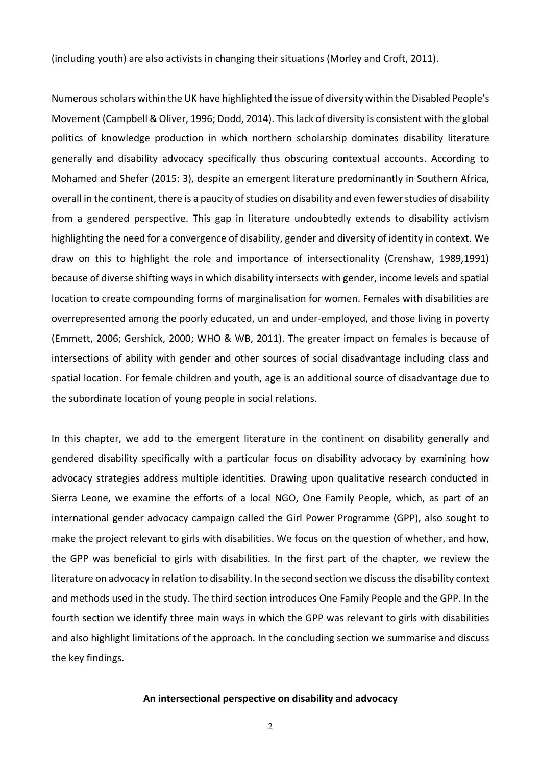(including youth) are also activists in changing their situations (Morley and Croft, 2011).

Numerous scholars within the UK have highlighted the issue of diversity within the Disabled People's Movement (Campbell & Oliver, 1996; Dodd, 2014). Thislack of diversity is consistent with the global politics of knowledge production in which northern scholarship dominates disability literature generally and disability advocacy specifically thus obscuring contextual accounts. According to Mohamed and Shefer (2015: 3), despite an emergent literature predominantly in Southern Africa, overall in the continent, there is a paucity of studies on disability and even fewerstudies of disability from a gendered perspective. This gap in literature undoubtedly extends to disability activism highlighting the need for a convergence of disability, gender and diversity of identity in context. We draw on this to highlight the role and importance of intersectionality (Crenshaw, 1989,1991) because of diverse shifting ways in which disability intersects with gender, income levels and spatial location to create compounding forms of marginalisation for women. Females with disabilities are overrepresented among the poorly educated, un and under-employed, and those living in poverty (Emmett, 2006; Gershick, 2000; WHO & WB, 2011). The greater impact on females is because of intersections of ability with gender and other sources of social disadvantage including class and spatial location. For female children and youth, age is an additional source of disadvantage due to the subordinate location of young people in social relations.

In this chapter, we add to the emergent literature in the continent on disability generally and gendered disability specifically with a particular focus on disability advocacy by examining how advocacy strategies address multiple identities. Drawing upon qualitative research conducted in Sierra Leone, we examine the efforts of a local NGO, One Family People, which, as part of an international gender advocacy campaign called the Girl Power Programme (GPP), also sought to make the project relevant to girls with disabilities. We focus on the question of whether, and how, the GPP was beneficial to girls with disabilities. In the first part of the chapter, we review the literature on advocacy in relation to disability. In the second section we discuss the disability context and methods used in the study. The third section introduces One Family People and the GPP. In the fourth section we identify three main ways in which the GPP was relevant to girls with disabilities and also highlight limitations of the approach. In the concluding section we summarise and discuss the key findings.

## **An intersectional perspective on disability and advocacy**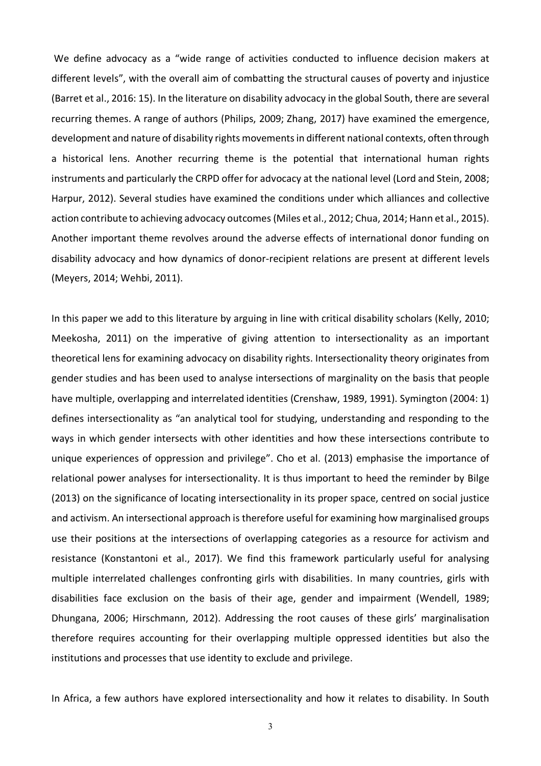We define advocacy as a "wide range of activities conducted to influence decision makers at different levels", with the overall aim of combatting the structural causes of poverty and injustice (Barret et al., 2016: 15). In the literature on disability advocacy in the global South, there are several recurring themes. A range of authors (Philips, 2009; Zhang, 2017) have examined the emergence, development and nature of disability rights movements in different national contexts, often through a historical lens. Another recurring theme is the potential that international human rights instruments and particularly the CRPD offer for advocacy at the national level (Lord and Stein, 2008; Harpur, 2012). Several studies have examined the conditions under which alliances and collective action contribute to achieving advocacy outcomes (Miles et al., 2012; Chua, 2014; Hann et al., 2015). Another important theme revolves around the adverse effects of international donor funding on disability advocacy and how dynamics of donor-recipient relations are present at different levels (Meyers, 2014; Wehbi, 2011).

In this paper we add to this literature by arguing in line with critical disability scholars (Kelly, 2010; Meekosha, 2011) on the imperative of giving attention to intersectionality as an important theoretical lens for examining advocacy on disability rights. Intersectionality theory originates from gender studies and has been used to analyse intersections of marginality on the basis that people have multiple, overlapping and interrelated identities (Crenshaw, 1989, 1991). Symington (2004: 1) defines intersectionality as "an analytical tool for studying, understanding and responding to the ways in which gender intersects with other identities and how these intersections contribute to unique experiences of oppression and privilege". Cho et al. (2013) emphasise the importance of relational power analyses for intersectionality. It is thus important to heed the reminder by Bilge (2013) on the significance of locating intersectionality in its proper space, centred on social justice and activism. An intersectional approach is therefore useful for examining how marginalised groups use their positions at the intersections of overlapping categories as a resource for activism and resistance (Konstantoni et al., 2017). We find this framework particularly useful for analysing multiple interrelated challenges confronting girls with disabilities. In many countries, girls with disabilities face exclusion on the basis of their age, gender and impairment (Wendell, 1989; Dhungana, 2006; Hirschmann, 2012). Addressing the root causes of these girls' marginalisation therefore requires accounting for their overlapping multiple oppressed identities but also the institutions and processes that use identity to exclude and privilege.

In Africa, a few authors have explored intersectionality and how it relates to disability. In South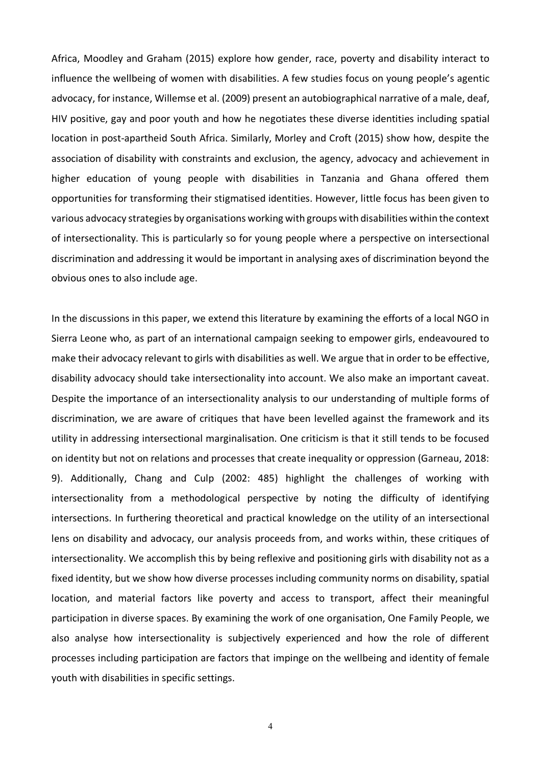Africa, Moodley and Graham (2015) explore how gender, race, poverty and disability interact to influence the wellbeing of women with disabilities. A few studies focus on young people's agentic advocacy, for instance, Willemse et al. (2009) present an autobiographical narrative of a male, deaf, HIV positive, gay and poor youth and how he negotiates these diverse identities including spatial location in post-apartheid South Africa. Similarly, Morley and Croft (2015) show how, despite the association of disability with constraints and exclusion, the agency, advocacy and achievement in higher education of young people with disabilities in Tanzania and Ghana offered them opportunities for transforming their stigmatised identities. However, little focus has been given to various advocacy strategies by organisations working with groups with disabilities within the context of intersectionality. This is particularly so for young people where a perspective on intersectional discrimination and addressing it would be important in analysing axes of discrimination beyond the obvious ones to also include age.

In the discussions in this paper, we extend this literature by examining the efforts of a local NGO in Sierra Leone who, as part of an international campaign seeking to empower girls, endeavoured to make their advocacy relevant to girls with disabilities as well. We argue that in order to be effective, disability advocacy should take intersectionality into account. We also make an important caveat. Despite the importance of an intersectionality analysis to our understanding of multiple forms of discrimination, we are aware of critiques that have been levelled against the framework and its utility in addressing intersectional marginalisation. One criticism is that it still tends to be focused on identity but not on relations and processes that create inequality or oppression (Garneau, 2018: 9). Additionally, Chang and Culp (2002: 485) highlight the challenges of working with intersectionality from a methodological perspective by noting the difficulty of identifying intersections. In furthering theoretical and practical knowledge on the utility of an intersectional lens on disability and advocacy, our analysis proceeds from, and works within, these critiques of intersectionality. We accomplish this by being reflexive and positioning girls with disability not as a fixed identity, but we show how diverse processes including community norms on disability, spatial location, and material factors like poverty and access to transport, affect their meaningful participation in diverse spaces. By examining the work of one organisation, One Family People, we also analyse how intersectionality is subjectively experienced and how the role of different processes including participation are factors that impinge on the wellbeing and identity of female youth with disabilities in specific settings.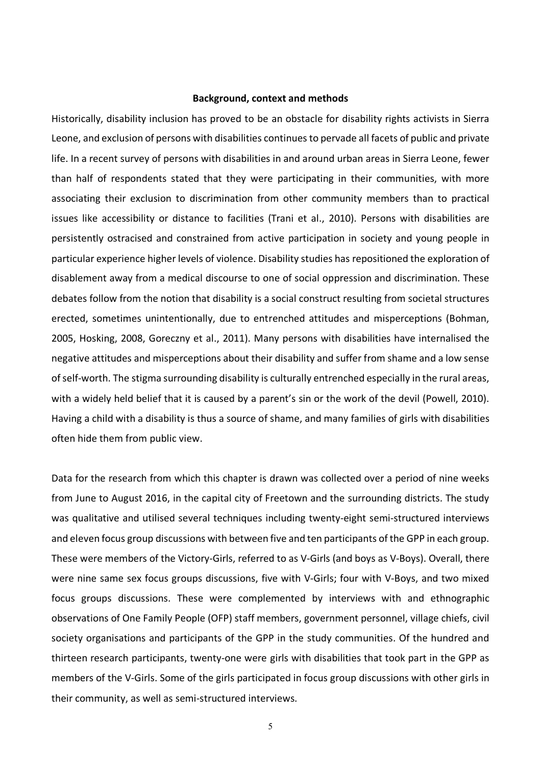### **Background, context and methods**

Historically, disability inclusion has proved to be an obstacle for disability rights activists in Sierra Leone, and exclusion of persons with disabilities continues to pervade all facets of public and private life. In a recent survey of persons with disabilities in and around urban areas in Sierra Leone, fewer than half of respondents stated that they were participating in their communities, with more associating their exclusion to discrimination from other community members than to practical issues like accessibility or distance to facilities (Trani et al., 2010). Persons with disabilities are persistently ostracised and constrained from active participation in society and young people in particular experience higher levels of violence. Disability studies has repositioned the exploration of disablement away from a medical discourse to one of social oppression and discrimination. These debates follow from the notion that disability is a social construct resulting from societal structures erected, sometimes unintentionally, due to entrenched attitudes and misperceptions (Bohman, 2005, Hosking, 2008, Goreczny et al., 2011). Many persons with disabilities have internalised the negative attitudes and misperceptions about their disability and suffer from shame and a low sense of self-worth. The stigma surrounding disability is culturally entrenched especially in the rural areas, with a widely held belief that it is caused by a parent's sin or the work of the devil (Powell, 2010). Having a child with a disability is thus a source of shame, and many families of girls with disabilities often hide them from public view.

Data for the research from which this chapter is drawn was collected over a period of nine weeks from June to August 2016, in the capital city of Freetown and the surrounding districts. The study was qualitative and utilised several techniques including twenty-eight semi-structured interviews and eleven focus group discussions with between five and ten participants of the GPP in each group. These were members of the Victory-Girls, referred to as V-Girls (and boys as V-Boys). Overall, there were nine same sex focus groups discussions, five with V-Girls; four with V-Boys, and two mixed focus groups discussions. These were complemented by interviews with and ethnographic observations of One Family People (OFP) staff members, government personnel, village chiefs, civil society organisations and participants of the GPP in the study communities. Of the hundred and thirteen research participants, twenty-one were girls with disabilities that took part in the GPP as members of the V-Girls. Some of the girls participated in focus group discussions with other girls in their community, as well as semi-structured interviews.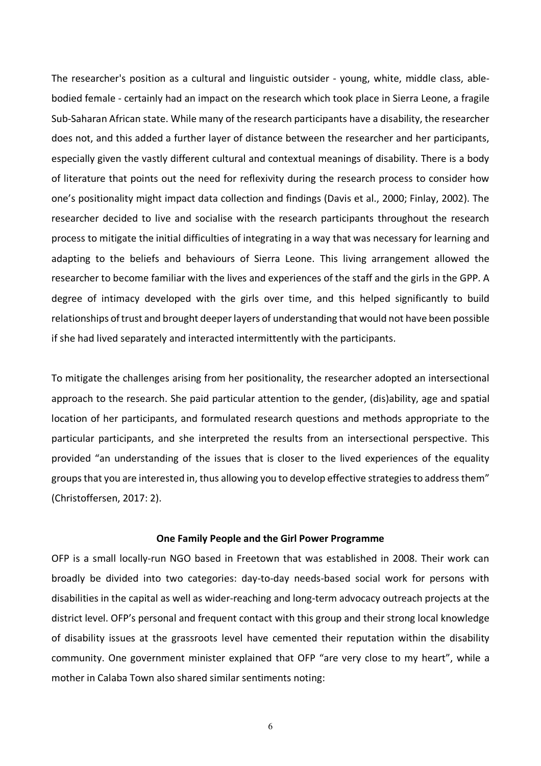The researcher's position as a cultural and linguistic outsider - young, white, middle class, ablebodied female - certainly had an impact on the research which took place in Sierra Leone, a fragile Sub-Saharan African state. While many of the research participants have a disability, the researcher does not, and this added a further layer of distance between the researcher and her participants, especially given the vastly different cultural and contextual meanings of disability. There is a body of literature that points out the need for reflexivity during the research process to consider how one's positionality might impact data collection and findings (Davis et al., 2000; Finlay, 2002). The researcher decided to live and socialise with the research participants throughout the research process to mitigate the initial difficulties of integrating in a way that was necessary for learning and adapting to the beliefs and behaviours of Sierra Leone. This living arrangement allowed the researcher to become familiar with the lives and experiences of the staff and the girls in the GPP. A degree of intimacy developed with the girls over time, and this helped significantly to build relationships of trust and brought deeper layers of understanding that would not have been possible if she had lived separately and interacted intermittently with the participants.

To mitigate the challenges arising from her positionality, the researcher adopted an intersectional approach to the research. She paid particular attention to the gender, (dis)ability, age and spatial location of her participants, and formulated research questions and methods appropriate to the particular participants, and she interpreted the results from an intersectional perspective. This provided "an understanding of the issues that is closer to the lived experiences of the equality groups that you are interested in, thus allowing you to develop effective strategies to address them" (Christoffersen, 2017: 2).

#### **One Family People and the Girl Power Programme**

OFP is a small locally-run NGO based in Freetown that was established in 2008. Their work can broadly be divided into two categories: day-to-day needs-based social work for persons with disabilities in the capital as well as wider-reaching and long-term advocacy outreach projects at the district level. OFP's personal and frequent contact with this group and their strong local knowledge of disability issues at the grassroots level have cemented their reputation within the disability community. One government minister explained that OFP "are very close to my heart", while a mother in Calaba Town also shared similar sentiments noting: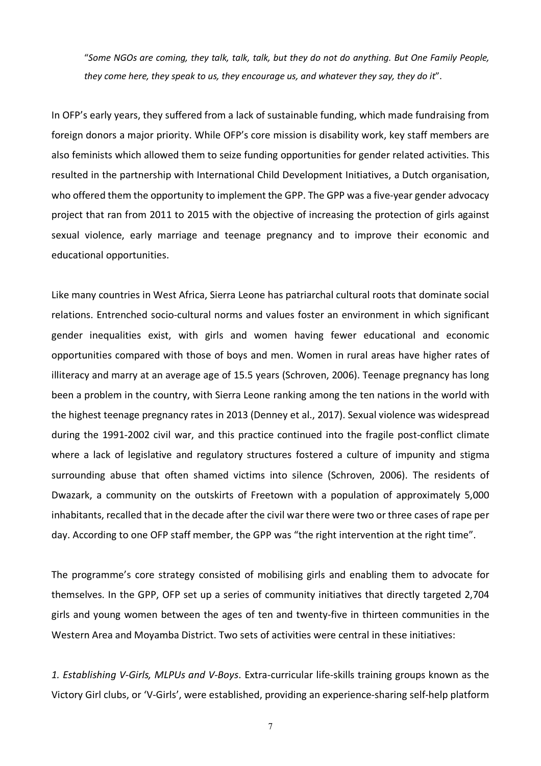"*Some NGOs are coming, they talk, talk, talk, but they do not do anything. But One Family People, they come here, they speak to us, they encourage us, and whatever they say, they do it*".

In OFP's early years, they suffered from a lack of sustainable funding, which made fundraising from foreign donors a major priority. While OFP's core mission is disability work, key staff members are also feminists which allowed them to seize funding opportunities for gender related activities. This resulted in the partnership with International Child Development Initiatives, a Dutch organisation, who offered them the opportunity to implement the GPP. The GPP was a five-year gender advocacy project that ran from 2011 to 2015 with the objective of increasing the protection of girls against sexual violence, early marriage and teenage pregnancy and to improve their economic and educational opportunities.

Like many countries in West Africa, Sierra Leone has patriarchal cultural roots that dominate social relations. Entrenched socio-cultural norms and values foster an environment in which significant gender inequalities exist, with girls and women having fewer educational and economic opportunities compared with those of boys and men. Women in rural areas have higher rates of illiteracy and marry at an average age of 15.5 years (Schroven, 2006). Teenage pregnancy has long been a problem in the country, with Sierra Leone ranking among the ten nations in the world with the highest teenage pregnancy rates in 2013 (Denney et al., 2017). Sexual violence was widespread during the 1991-2002 civil war, and this practice continued into the fragile post-conflict climate where a lack of legislative and regulatory structures fostered a culture of impunity and stigma surrounding abuse that often shamed victims into silence (Schroven, 2006). The residents of Dwazark, a community on the outskirts of Freetown with a population of approximately 5,000 inhabitants, recalled that in the decade after the civil war there were two or three cases of rape per day. According to one OFP staff member, the GPP was "the right intervention at the right time".

The programme's core strategy consisted of mobilising girls and enabling them to advocate for themselves. In the GPP, OFP set up a series of community initiatives that directly targeted 2,704 girls and young women between the ages of ten and twenty-five in thirteen communities in the Western Area and Moyamba District. Two sets of activities were central in these initiatives:

*1. Establishing V-Girls, MLPUs and V-Boys*. Extra-curricular life-skills training groups known as the Victory Girl clubs, or 'V-Girls', were established, providing an experience-sharing self-help platform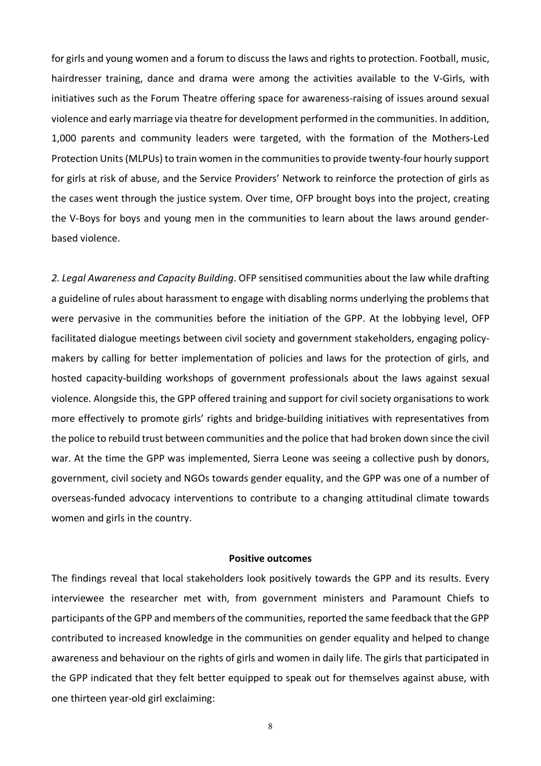for girls and young women and a forum to discuss the laws and rights to protection. Football, music, hairdresser training, dance and drama were among the activities available to the V-Girls, with initiatives such as the Forum Theatre offering space for awareness-raising of issues around sexual violence and early marriage via theatre for development performed in the communities. In addition, 1,000 parents and community leaders were targeted, with the formation of the Mothers-Led Protection Units(MLPUs) to train women in the communities to provide twenty-four hourly support for girls at risk of abuse, and the Service Providers' Network to reinforce the protection of girls as the cases went through the justice system. Over time, OFP brought boys into the project, creating the V-Boys for boys and young men in the communities to learn about the laws around genderbased violence.

*2. Legal Awareness and Capacity Building*. OFP sensitised communities about the law while drafting a guideline of rules about harassment to engage with disabling norms underlying the problems that were pervasive in the communities before the initiation of the GPP. At the lobbying level, OFP facilitated dialogue meetings between civil society and government stakeholders, engaging policymakers by calling for better implementation of policies and laws for the protection of girls, and hosted capacity-building workshops of government professionals about the laws against sexual violence. Alongside this, the GPP offered training and support for civil society organisations to work more effectively to promote girls' rights and bridge-building initiatives with representatives from the police to rebuild trust between communities and the police that had broken down since the civil war. At the time the GPP was implemented, Sierra Leone was seeing a collective push by donors, government, civil society and NGOs towards gender equality, and the GPP was one of a number of overseas-funded advocacy interventions to contribute to a changing attitudinal climate towards women and girls in the country.

## **Positive outcomes**

The findings reveal that local stakeholders look positively towards the GPP and its results. Every interviewee the researcher met with, from government ministers and Paramount Chiefs to participants of the GPP and members of the communities, reported the same feedback that the GPP contributed to increased knowledge in the communities on gender equality and helped to change awareness and behaviour on the rights of girls and women in daily life. The girls that participated in the GPP indicated that they felt better equipped to speak out for themselves against abuse, with one thirteen year-old girl exclaiming: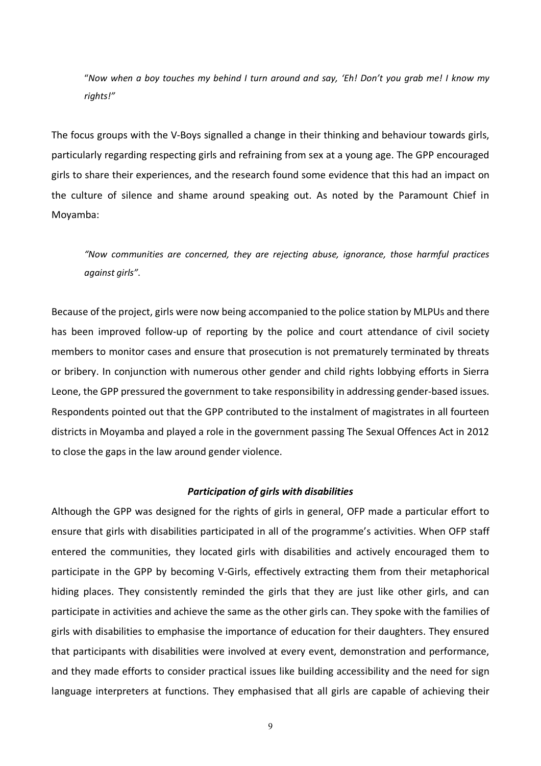"*Now when a boy touches my behind I turn around and say, 'Eh! Don't you grab me! I know my rights!"* 

The focus groups with the V-Boys signalled a change in their thinking and behaviour towards girls, particularly regarding respecting girls and refraining from sex at a young age. The GPP encouraged girls to share their experiences, and the research found some evidence that this had an impact on the culture of silence and shame around speaking out. As noted by the Paramount Chief in Moyamba:

*"Now communities are concerned, they are rejecting abuse, ignorance, those harmful practices against girls"*.

Because of the project, girls were now being accompanied to the police station by MLPUs and there has been improved follow-up of reporting by the police and court attendance of civil society members to monitor cases and ensure that prosecution is not prematurely terminated by threats or bribery. In conjunction with numerous other gender and child rights lobbying efforts in Sierra Leone, the GPP pressured the government to take responsibility in addressing gender-based issues. Respondents pointed out that the GPP contributed to the instalment of magistrates in all fourteen districts in Moyamba and played a role in the government passing The Sexual Offences Act in 2012 to close the gaps in the law around gender violence.

## *Participation of girls with disabilities*

Although the GPP was designed for the rights of girls in general, OFP made a particular effort to ensure that girls with disabilities participated in all of the programme's activities. When OFP staff entered the communities, they located girls with disabilities and actively encouraged them to participate in the GPP by becoming V-Girls, effectively extracting them from their metaphorical hiding places. They consistently reminded the girls that they are just like other girls, and can participate in activities and achieve the same as the other girls can. They spoke with the families of girls with disabilities to emphasise the importance of education for their daughters. They ensured that participants with disabilities were involved at every event, demonstration and performance, and they made efforts to consider practical issues like building accessibility and the need for sign language interpreters at functions. They emphasised that all girls are capable of achieving their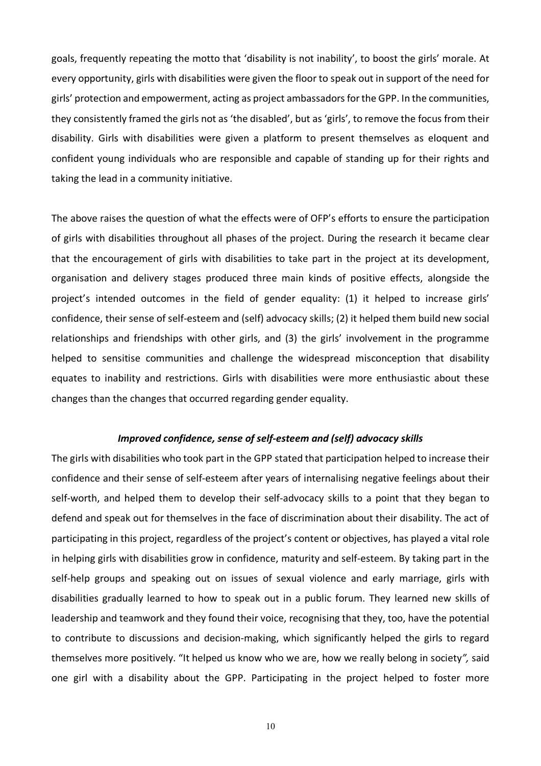goals, frequently repeating the motto that 'disability is not inability', to boost the girls' morale. At every opportunity, girls with disabilities were given the floor to speak out in support of the need for girls' protection and empowerment, acting as project ambassadors for the GPP. In the communities, they consistently framed the girls not as 'the disabled', but as 'girls', to remove the focus from their disability. Girls with disabilities were given a platform to present themselves as eloquent and confident young individuals who are responsible and capable of standing up for their rights and taking the lead in a community initiative.

The above raises the question of what the effects were of OFP's efforts to ensure the participation of girls with disabilities throughout all phases of the project. During the research it became clear that the encouragement of girls with disabilities to take part in the project at its development, organisation and delivery stages produced three main kinds of positive effects, alongside the project's intended outcomes in the field of gender equality: (1) it helped to increase girls' confidence, their sense of self-esteem and (self) advocacy skills; (2) it helped them build new social relationships and friendships with other girls, and (3) the girls' involvement in the programme helped to sensitise communities and challenge the widespread misconception that disability equates to inability and restrictions. Girls with disabilities were more enthusiastic about these changes than the changes that occurred regarding gender equality.

## *Improved confidence, sense of self-esteem and (self) advocacy skills*

The girls with disabilities who took part in the GPP stated that participation helped to increase their confidence and their sense of self-esteem after years of internalising negative feelings about their self-worth, and helped them to develop their self-advocacy skills to a point that they began to defend and speak out for themselves in the face of discrimination about their disability. The act of participating in this project, regardless of the project's content or objectives, has played a vital role in helping girls with disabilities grow in confidence, maturity and self-esteem. By taking part in the self-help groups and speaking out on issues of sexual violence and early marriage, girls with disabilities gradually learned to how to speak out in a public forum. They learned new skills of leadership and teamwork and they found their voice, recognising that they, too, have the potential to contribute to discussions and decision-making, which significantly helped the girls to regard themselves more positively. "It helped us know who we are, how we really belong in society*",* said one girl with a disability about the GPP. Participating in the project helped to foster more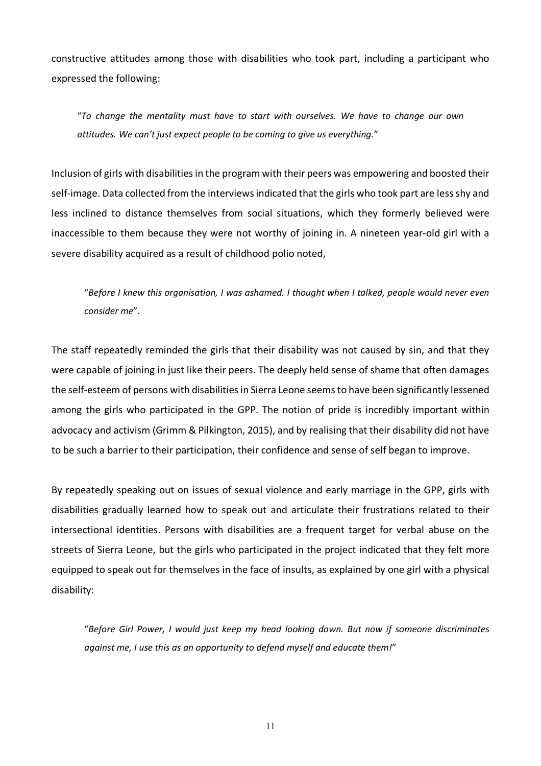constructive attitudes among those with disabilities who took part, including a participant who expressed the following:

"*To change the mentality must have to start with ourselves. We have to change our own attitudes. We can't just expect people to be coming to give us everything.*"

Inclusion of girls with disabilities in the program with their peers was empowering and boosted their self-image. Data collected from the interviews indicated that the girls who took part are less shy and less inclined to distance themselves from social situations, which they formerly believed were inaccessible to them because they were not worthy of joining in. A nineteen year-old girl with a severe disability acquired as a result of childhood polio noted,

"*Before I knew this organisation, I was ashamed. I thought when I talked, people would never even consider me*".

The staff repeatedly reminded the girls that their disability was not caused by sin, and that they were capable of joining in just like their peers. The deeply held sense of shame that often damages the self-esteem of persons with disabilities in Sierra Leone seems to have been significantly lessened among the girls who participated in the GPP. The notion of pride is incredibly important within advocacy and activism (Grimm & Pilkington, 2015), and by realising that their disability did not have to be such a barrier to their participation, their confidence and sense of self began to improve.

By repeatedly speaking out on issues of sexual violence and early marriage in the GPP, girls with disabilities gradually learned how to speak out and articulate their frustrations related to their intersectional identities. Persons with disabilities are a frequent target for verbal abuse on the streets of Sierra Leone, but the girls who participated in the project indicated that they felt more equipped to speak out for themselves in the face of insults, as explained by one girl with a physical disability:

"*Before Girl Power, I would just keep my head looking down. But now if someone discriminates against me, I use this as an opportunity to defend myself and educate them!*"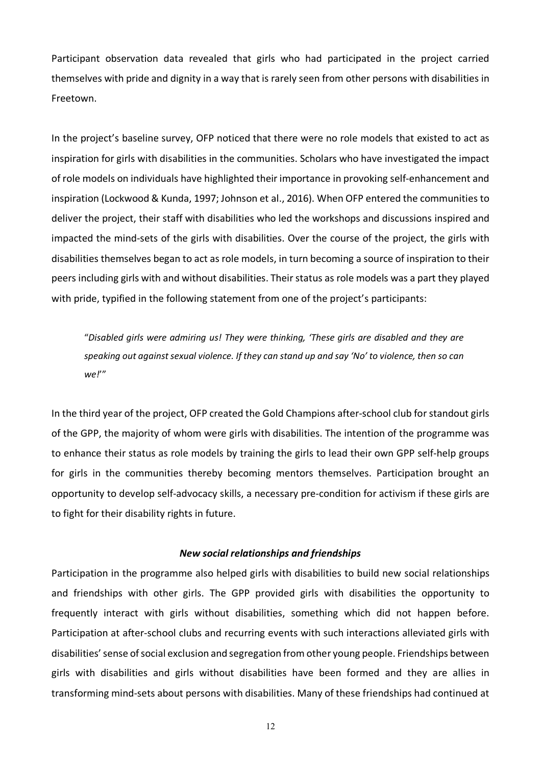Participant observation data revealed that girls who had participated in the project carried themselves with pride and dignity in a way that is rarely seen from other persons with disabilities in Freetown.

In the project's baseline survey, OFP noticed that there were no role models that existed to act as inspiration for girls with disabilities in the communities. Scholars who have investigated the impact of role models on individuals have highlighted their importance in provoking self-enhancement and inspiration (Lockwood & Kunda, 1997; Johnson et al., 2016). When OFP entered the communities to deliver the project, their staff with disabilities who led the workshops and discussions inspired and impacted the mind-sets of the girls with disabilities. Over the course of the project, the girls with disabilities themselves began to act as role models, in turn becoming a source of inspiration to their peers including girls with and without disabilities. Their status as role models was a part they played with pride, typified in the following statement from one of the project's participants:

"*Disabled girls were admiring us! They were thinking, 'These girls are disabled and they are speaking out against sexual violence. If they can stand up and say 'No' to violence, then so can we!*'"

In the third year of the project, OFP created the Gold Champions after-school club for standout girls of the GPP, the majority of whom were girls with disabilities. The intention of the programme was to enhance their status as role models by training the girls to lead their own GPP self-help groups for girls in the communities thereby becoming mentors themselves. Participation brought an opportunity to develop self-advocacy skills, a necessary pre-condition for activism if these girls are to fight for their disability rights in future.

## *New social relationships and friendships*

Participation in the programme also helped girls with disabilities to build new social relationships and friendships with other girls. The GPP provided girls with disabilities the opportunity to frequently interact with girls without disabilities, something which did not happen before. Participation at after-school clubs and recurring events with such interactions alleviated girls with disabilities' sense of social exclusion and segregation from other young people. Friendships between girls with disabilities and girls without disabilities have been formed and they are allies in transforming mind-sets about persons with disabilities. Many of these friendships had continued at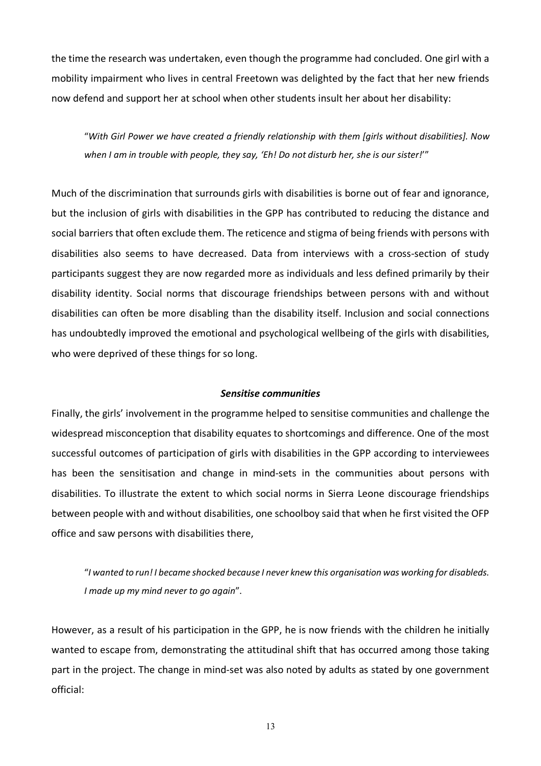the time the research was undertaken, even though the programme had concluded. One girl with a mobility impairment who lives in central Freetown was delighted by the fact that her new friends now defend and support her at school when other students insult her about her disability:

"*With Girl Power we have created a friendly relationship with them [girls without disabilities]. Now when I am in trouble with people, they say, 'Eh! Do not disturb her, she is our sister!*'"

Much of the discrimination that surrounds girls with disabilities is borne out of fear and ignorance, but the inclusion of girls with disabilities in the GPP has contributed to reducing the distance and social barriers that often exclude them. The reticence and stigma of being friends with persons with disabilities also seems to have decreased. Data from interviews with a cross-section of study participants suggest they are now regarded more as individuals and less defined primarily by their disability identity. Social norms that discourage friendships between persons with and without disabilities can often be more disabling than the disability itself. Inclusion and social connections has undoubtedly improved the emotional and psychological wellbeing of the girls with disabilities, who were deprived of these things for so long.

## *Sensitise communities*

Finally, the girls' involvement in the programme helped to sensitise communities and challenge the widespread misconception that disability equates to shortcomings and difference. One of the most successful outcomes of participation of girls with disabilities in the GPP according to interviewees has been the sensitisation and change in mind-sets in the communities about persons with disabilities. To illustrate the extent to which social norms in Sierra Leone discourage friendships between people with and without disabilities, one schoolboy said that when he first visited the OFP office and saw persons with disabilities there,

"*I wanted to run! I became shocked because I never knew this organisation was working for disableds. I made up my mind never to go again*".

However, as a result of his participation in the GPP, he is now friends with the children he initially wanted to escape from, demonstrating the attitudinal shift that has occurred among those taking part in the project. The change in mind-set was also noted by adults as stated by one government official: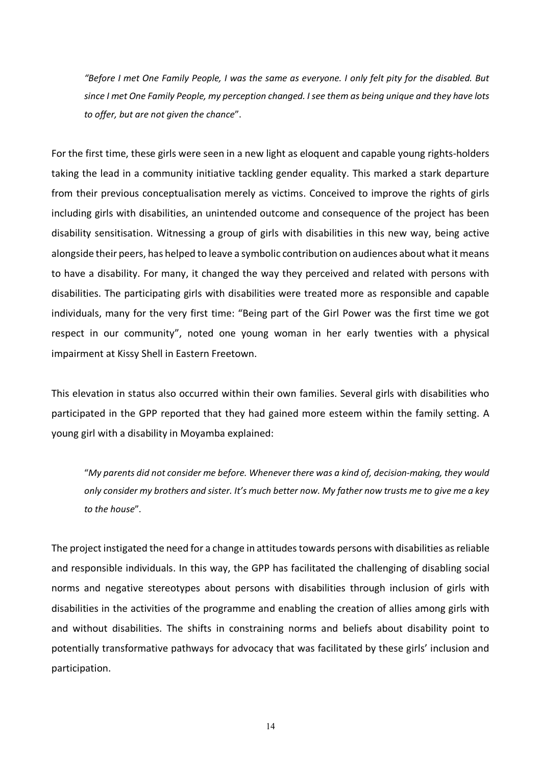*"Before I met One Family People, I was the same as everyone. I only felt pity for the disabled. But since I met One Family People, my perception changed. I see them as being unique and they have lots to offer, but are not given the chance*".

For the first time, these girls were seen in a new light as eloquent and capable young rights-holders taking the lead in a community initiative tackling gender equality. This marked a stark departure from their previous conceptualisation merely as victims. Conceived to improve the rights of girls including girls with disabilities, an unintended outcome and consequence of the project has been disability sensitisation. Witnessing a group of girls with disabilities in this new way, being active alongside their peers, has helped to leave a symbolic contribution on audiences about what it means to have a disability. For many, it changed the way they perceived and related with persons with disabilities. The participating girls with disabilities were treated more as responsible and capable individuals, many for the very first time: "Being part of the Girl Power was the first time we got respect in our community", noted one young woman in her early twenties with a physical impairment at Kissy Shell in Eastern Freetown.

This elevation in status also occurred within their own families. Several girls with disabilities who participated in the GPP reported that they had gained more esteem within the family setting. A young girl with a disability in Moyamba explained:

"*My parents did not consider me before. Whenever there was a kind of, decision-making, they would only consider my brothers and sister. It's much better now. My father now trusts me to give me a key to the house*".

The project instigated the need for a change in attitudes towards persons with disabilities as reliable and responsible individuals. In this way, the GPP has facilitated the challenging of disabling social norms and negative stereotypes about persons with disabilities through inclusion of girls with disabilities in the activities of the programme and enabling the creation of allies among girls with and without disabilities. The shifts in constraining norms and beliefs about disability point to potentially transformative pathways for advocacy that was facilitated by these girls' inclusion and participation.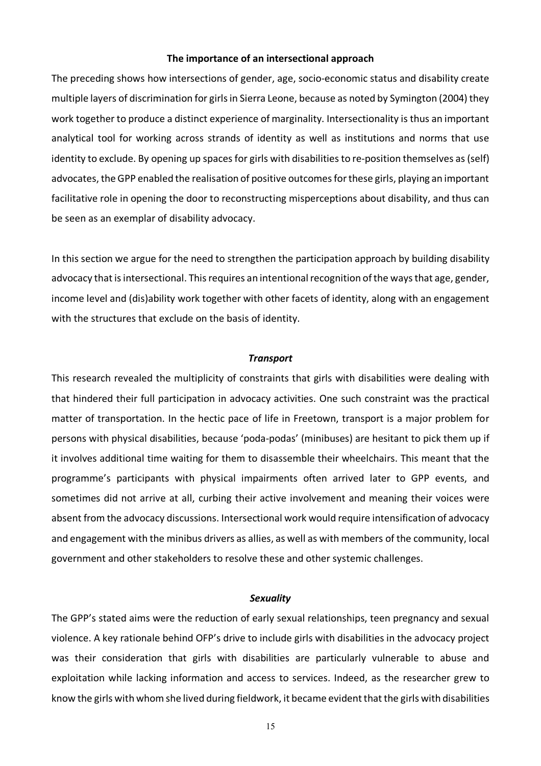#### **The importance of an intersectional approach**

The preceding shows how intersections of gender, age, socio-economic status and disability create multiple layers of discrimination for girls in Sierra Leone, because as noted by Symington (2004) they work together to produce a distinct experience of marginality. Intersectionality is thus an important analytical tool for working across strands of identity as well as institutions and norms that use identity to exclude. By opening up spaces for girls with disabilities to re-position themselves as (self) advocates, the GPP enabled the realisation of positive outcomes for these girls, playing an important facilitative role in opening the door to reconstructing misperceptions about disability, and thus can be seen as an exemplar of disability advocacy.

In this section we argue for the need to strengthen the participation approach by building disability advocacy that is intersectional. This requires an intentional recognition of the ways that age, gender, income level and (dis)ability work together with other facets of identity, along with an engagement with the structures that exclude on the basis of identity.

#### *Transport*

This research revealed the multiplicity of constraints that girls with disabilities were dealing with that hindered their full participation in advocacy activities. One such constraint was the practical matter of transportation. In the hectic pace of life in Freetown, transport is a major problem for persons with physical disabilities, because 'poda-podas' (minibuses) are hesitant to pick them up if it involves additional time waiting for them to disassemble their wheelchairs. This meant that the programme's participants with physical impairments often arrived later to GPP events, and sometimes did not arrive at all, curbing their active involvement and meaning their voices were absent from the advocacy discussions. Intersectional work would require intensification of advocacy and engagement with the minibus drivers as allies, as well as with members of the community, local government and other stakeholders to resolve these and other systemic challenges.

## *Sexuality*

The GPP's stated aims were the reduction of early sexual relationships, teen pregnancy and sexual violence. A key rationale behind OFP's drive to include girls with disabilities in the advocacy project was their consideration that girls with disabilities are particularly vulnerable to abuse and exploitation while lacking information and access to services. Indeed, as the researcher grew to know the girls with whom she lived during fieldwork, it became evident that the girls with disabilities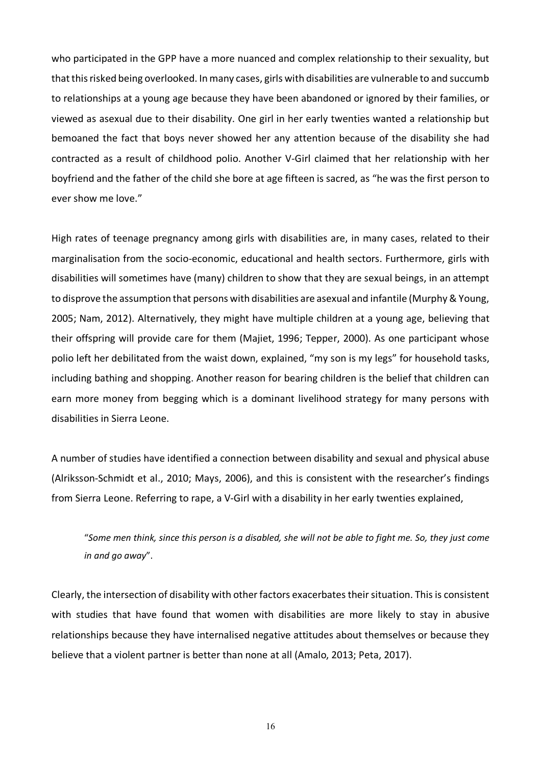who participated in the GPP have a more nuanced and complex relationship to their sexuality, but that this risked being overlooked. In many cases, girls with disabilities are vulnerable to and succumb to relationships at a young age because they have been abandoned or ignored by their families, or viewed as asexual due to their disability. One girl in her early twenties wanted a relationship but bemoaned the fact that boys never showed her any attention because of the disability she had contracted as a result of childhood polio. Another V-Girl claimed that her relationship with her boyfriend and the father of the child she bore at age fifteen is sacred, as "he was the first person to ever show me love."

High rates of teenage pregnancy among girls with disabilities are, in many cases, related to their marginalisation from the socio-economic, educational and health sectors. Furthermore, girls with disabilities will sometimes have (many) children to show that they are sexual beings, in an attempt to disprove the assumption that persons with disabilities are asexual and infantile (Murphy & Young, 2005; Nam, 2012). Alternatively, they might have multiple children at a young age, believing that their offspring will provide care for them (Majiet, 1996; Tepper, 2000). As one participant whose polio left her debilitated from the waist down, explained, "my son is my legs" for household tasks, including bathing and shopping. Another reason for bearing children is the belief that children can earn more money from begging which is a dominant livelihood strategy for many persons with disabilities in Sierra Leone.

A number of studies have identified a connection between disability and sexual and physical abuse (Alriksson-Schmidt et al., 2010; Mays, 2006), and this is consistent with the researcher's findings from Sierra Leone. Referring to rape, a V-Girl with a disability in her early twenties explained,

"*Some men think, since this person is a disabled, she will not be able to fight me. So, they just come in and go away*".

Clearly, the intersection of disability with other factors exacerbates their situation. This is consistent with studies that have found that women with disabilities are more likely to stay in abusive relationships because they have internalised negative attitudes about themselves or because they believe that a violent partner is better than none at all (Amalo, 2013; Peta, 2017).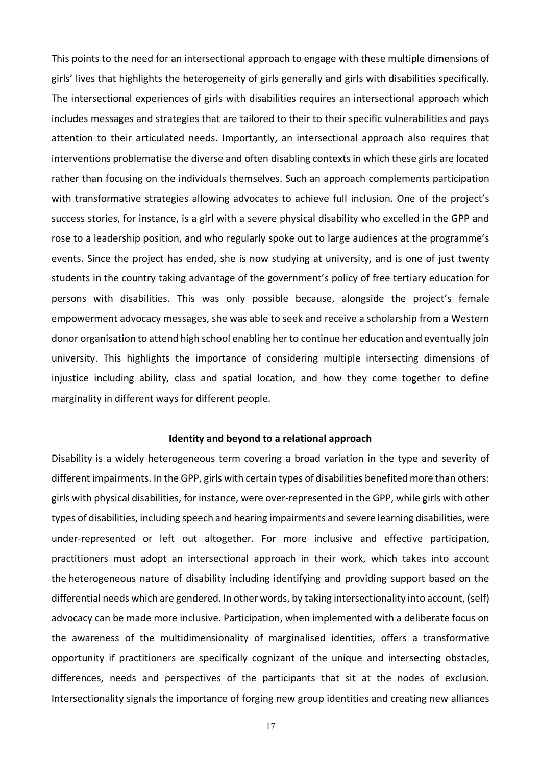This points to the need for an intersectional approach to engage with these multiple dimensions of girls' lives that highlights the heterogeneity of girls generally and girls with disabilities specifically. The intersectional experiences of girls with disabilities requires an intersectional approach which includes messages and strategies that are tailored to their to their specific vulnerabilities and pays attention to their articulated needs. Importantly, an intersectional approach also requires that interventions problematise the diverse and often disabling contexts in which these girls are located rather than focusing on the individuals themselves. Such an approach complements participation with transformative strategies allowing advocates to achieve full inclusion. One of the project's success stories, for instance, is a girl with a severe physical disability who excelled in the GPP and rose to a leadership position, and who regularly spoke out to large audiences at the programme's events. Since the project has ended, she is now studying at university, and is one of just twenty students in the country taking advantage of the government's policy of free tertiary education for persons with disabilities. This was only possible because, alongside the project's female empowerment advocacy messages, she was able to seek and receive a scholarship from a Western donor organisation to attend high school enabling herto continue her education and eventually join university. This highlights the importance of considering multiple intersecting dimensions of injustice including ability, class and spatial location, and how they come together to define marginality in different ways for different people.

#### **Identity and beyond to a relational approach**

Disability is a widely heterogeneous term covering a broad variation in the type and severity of different impairments. In the GPP, girls with certain types of disabilities benefited more than others: girls with physical disabilities, for instance, were over-represented in the GPP, while girls with other types of disabilities, including speech and hearing impairments and severe learning disabilities, were under-represented or left out altogether. For more inclusive and effective participation, practitioners must adopt an intersectional approach in their work, which takes into account the heterogeneous nature of disability including identifying and providing support based on the differential needs which are gendered. In other words, by taking intersectionality into account, (self) advocacy can be made more inclusive. Participation, when implemented with a deliberate focus on the awareness of the multidimensionality of marginalised identities, offers a transformative opportunity if practitioners are specifically cognizant of the unique and intersecting obstacles, differences, needs and perspectives of the participants that sit at the nodes of exclusion. Intersectionality signals the importance of forging new group identities and creating new alliances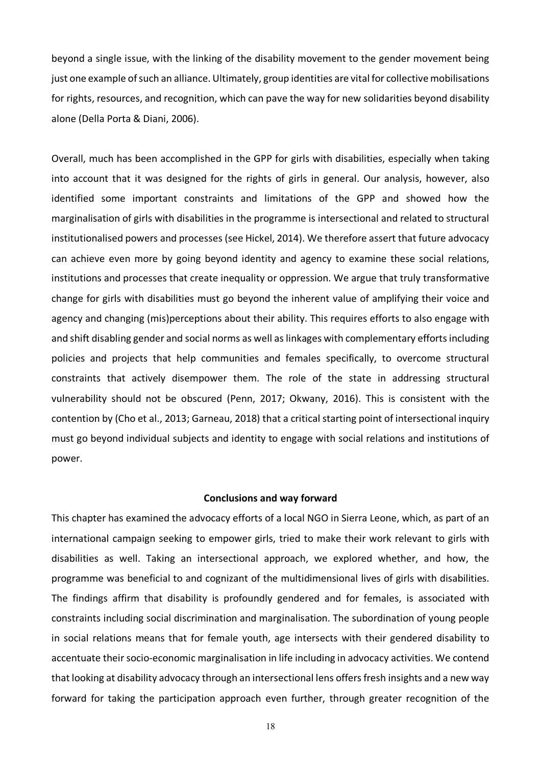beyond a single issue, with the linking of the disability movement to the gender movement being just one example of such an alliance. Ultimately, group identities are vital for collective mobilisations for rights, resources, and recognition, which can pave the way for new solidarities beyond disability alone (Della Porta & Diani, 2006).

Overall, much has been accomplished in the GPP for girls with disabilities, especially when taking into account that it was designed for the rights of girls in general. Our analysis, however, also identified some important constraints and limitations of the GPP and showed how the marginalisation of girls with disabilities in the programme is intersectional and related to structural institutionalised powers and processes (see Hickel, 2014). We therefore assert that future advocacy can achieve even more by going beyond identity and agency to examine these social relations, institutions and processes that create inequality or oppression. We argue that truly transformative change for girls with disabilities must go beyond the inherent value of amplifying their voice and agency and changing (mis)perceptions about their ability. This requires efforts to also engage with and shift disabling gender and social norms as well as linkages with complementary efforts including policies and projects that help communities and females specifically, to overcome structural constraints that actively disempower them. The role of the state in addressing structural vulnerability should not be obscured (Penn, 2017; Okwany, 2016). This is consistent with the contention by (Cho et al., 2013; Garneau, 2018) that a critical starting point of intersectional inquiry must go beyond individual subjects and identity to engage with social relations and institutions of power.

## **Conclusions and way forward**

This chapter has examined the advocacy efforts of a local NGO in Sierra Leone, which, as part of an international campaign seeking to empower girls, tried to make their work relevant to girls with disabilities as well. Taking an intersectional approach, we explored whether, and how, the programme was beneficial to and cognizant of the multidimensional lives of girls with disabilities. The findings affirm that disability is profoundly gendered and for females, is associated with constraints including social discrimination and marginalisation. The subordination of young people in social relations means that for female youth, age intersects with their gendered disability to accentuate their socio-economic marginalisation in life including in advocacy activities. We contend that looking at disability advocacy through an intersectional lens offers fresh insights and a new way forward for taking the participation approach even further, through greater recognition of the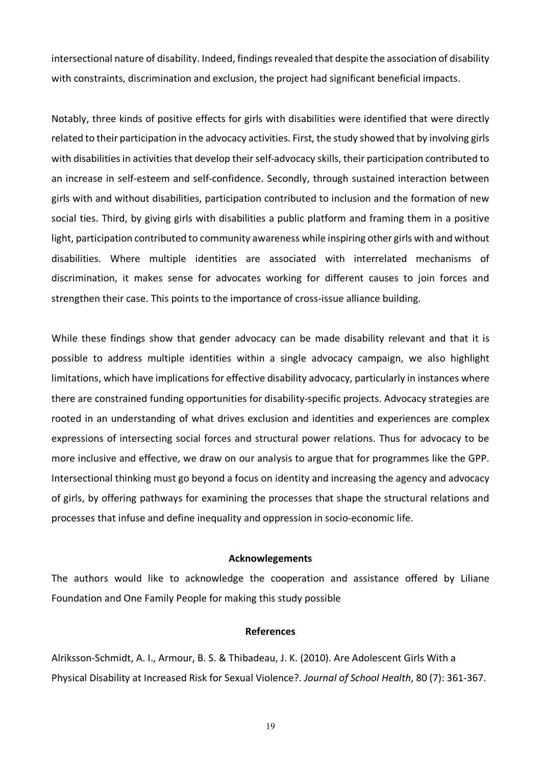intersectional nature of disability. Indeed, findings revealed that despite the association of disability with constraints, discrimination and exclusion, the project had significant beneficial impacts.

Notably, three kinds of positive effects for girls with disabilities were identified that were directly related to their participation in the advocacy activities. First, the study showed that by involving girls with disabilities in activities that develop their self-advocacy skills, their participation contributed to an increase in self-esteem and self-confidence. Secondly, through sustained interaction between girls with and without disabilities, participation contributed to inclusion and the formation of new social ties. Third, by giving girls with disabilities a public platform and framing them in a positive light, participation contributed to community awareness while inspiring other girls with and without disabilities. Where multiple identities are associated with interrelated mechanisms of discrimination, it makes sense for advocates working for different causes to join forces and strengthen their case. This points to the importance of cross-issue alliance building.

While these findings show that gender advocacy can be made disability relevant and that it is possible to address multiple identities within a single advocacy campaign, we also highlight limitations, which have implications for effective disability advocacy, particularly in instances where there are constrained funding opportunities for disability-specific projects. Advocacy strategies are rooted in an understanding of what drives exclusion and identities and experiences are complex expressions of intersecting social forces and structural power relations. Thus for advocacy to be more inclusive and effective, we draw on our analysis to argue that for programmes like the GPP. Intersectional thinking must go beyond a focus on identity and increasing the agency and advocacy of girls, by offering pathways for examining the processes that shape the structural relations and processes that infuse and define inequality and oppression in socio-economic life.

# **Acknowlegements**

The authors would like to acknowledge the cooperation and assistance offered by Liliane Foundation and One Family People for making this study possible

# **References**

Alriksson-Schmidt, A. I., Armour, B. S. & Thibadeau, J. K. (2010). Are Adolescent Girls With a Physical Disability at Increased Risk for Sexual Violence?. *Journal of School Health*, 80 (7): 361-367.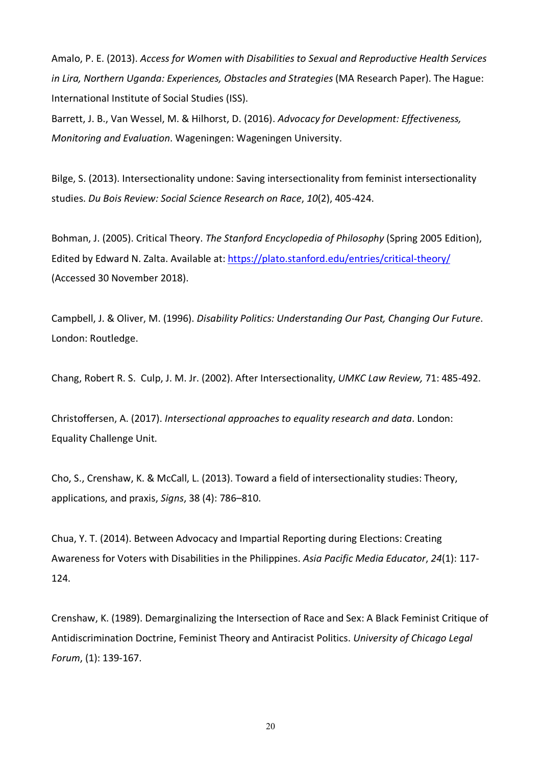Amalo, P. E. (2013). *Access for Women with Disabilities to Sexual and Reproductive Health Services in Lira, Northern Uganda: Experiences, Obstacles and Strategies* (MA Research Paper). The Hague: International Institute of Social Studies (ISS).

Barrett, J. B., Van Wessel, M. & Hilhorst, D. (2016). *Advocacy for Development: Effectiveness, Monitoring and Evaluation*. Wageningen: Wageningen University.

Bilge, S. (2013). Intersectionality undone: Saving intersectionality from feminist intersectionality studies. *Du Bois Review: Social Science Research on Race*, *10*(2), 405-424.

Bohman, J. (2005). Critical Theory. *The Stanford Encyclopedia of Philosophy* (Spring 2005 Edition), Edited by Edward N. Zalta. Available at: https://plato.stanford.edu/entries/critical-theory/ (Accessed 30 November 2018).

Campbell, J. & Oliver, M. (1996). *Disability Politics: Understanding Our Past, Changing Our Future*. London: Routledge.

Chang, Robert R. S. Culp, J. M. Jr. (2002). After Intersectionality, *UMKC Law Review,* 71: 485-492.

Christoffersen, A. (2017). *Intersectional approaches to equality research and data*. London: Equality Challenge Unit.

Cho, S., Crenshaw, K. & McCall, L. (2013). Toward a field of intersectionality studies: Theory, applications, and praxis, *Signs*, 38 (4): 786–810.

Chua, Y. T. (2014). Between Advocacy and Impartial Reporting during Elections: Creating Awareness for Voters with Disabilities in the Philippines. *Asia Pacific Media Educator*, *24*(1): 117- 124.

Crenshaw, K. (1989). Demarginalizing the Intersection of Race and Sex: A Black Feminist Critique of Antidiscrimination Doctrine, Feminist Theory and Antiracist Politics. *University of Chicago Legal Forum*, (1): 139-167.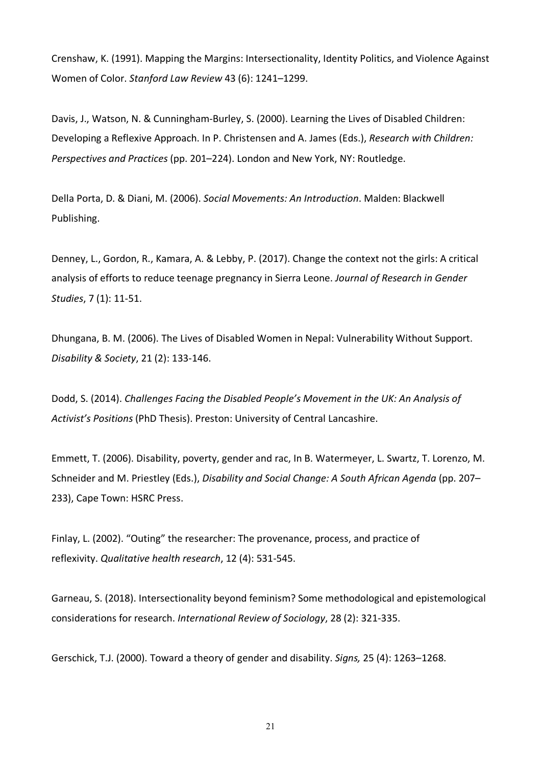Crenshaw, K. (1991). Mapping the Margins: Intersectionality, Identity Politics, and Violence Against Women of Color. *Stanford Law Review* 43 (6): 1241–1299.

Davis, J., Watson, N. & Cunningham-Burley, S. (2000). Learning the Lives of Disabled Children: Developing a Reflexive Approach. In P. Christensen and A. James (Eds.), *Research with Children: Perspectives and Practices* (pp. 201–224). London and New York, NY: Routledge.

Della Porta, D. & Diani, M. (2006). *Social Movements: An Introduction*. Malden: Blackwell Publishing.

Denney, L., Gordon, R., Kamara, A. & Lebby, P. (2017). Change the context not the girls: A critical analysis of efforts to reduce teenage pregnancy in Sierra Leone. *Journal of Research in Gender Studies*, 7 (1): 11-51.

Dhungana, B. M. (2006). The Lives of Disabled Women in Nepal: Vulnerability Without Support. *Disability & Society*, 21 (2): 133-146.

Dodd, S. (2014). *Challenges Facing the Disabled People's Movement in the UK: An Analysis of Activist's Positions* (PhD Thesis). Preston: University of Central Lancashire.

Emmett, T. (2006). Disability, poverty, gender and rac, In B. Watermeyer, L. Swartz, T. Lorenzo, M. Schneider and M. Priestley (Eds.), *Disability and Social Change: A South African Agenda* (pp. 207– 233), Cape Town: HSRC Press.

Finlay, L. (2002). "Outing" the researcher: The provenance, process, and practice of reflexivity. *Qualitative health research*, 12 (4): 531-545.

Garneau, S. (2018). Intersectionality beyond feminism? Some methodological and epistemological considerations for research. *International Review of Sociology*, 28 (2): 321-335.

Gerschick, T.J. (2000). Toward a theory of gender and disability. *Signs,* 25 (4): 1263–1268.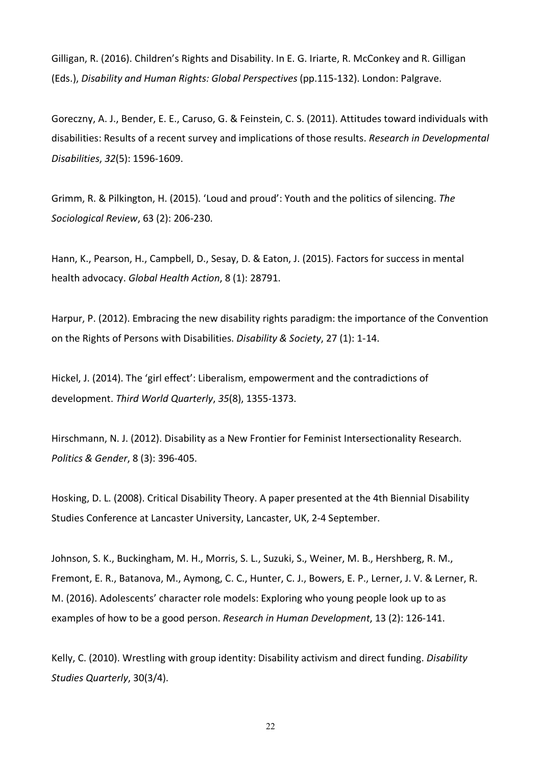Gilligan, R. (2016). Children's Rights and Disability. In E. G. Iriarte, R. McConkey and R. Gilligan (Eds.), *Disability and Human Rights: Global Perspectives* (pp.115-132). London: Palgrave.

Goreczny, A. J., Bender, E. E., Caruso, G. & Feinstein, C. S. (2011). Attitudes toward individuals with disabilities: Results of a recent survey and implications of those results. *Research in Developmental Disabilities*, *32*(5): 1596-1609.

Grimm, R. & Pilkington, H. (2015). 'Loud and proud': Youth and the politics of silencing. *The Sociological Review*, 63 (2): 206-230.

Hann, K., Pearson, H., Campbell, D., Sesay, D. & Eaton, J. (2015). Factors for success in mental health advocacy. *Global Health Action*, 8 (1): 28791.

Harpur, P. (2012). Embracing the new disability rights paradigm: the importance of the Convention on the Rights of Persons with Disabilities. *Disability & Society*, 27 (1): 1-14.

Hickel, J. (2014). The 'girl effect': Liberalism, empowerment and the contradictions of development. *Third World Quarterly*, *35*(8), 1355-1373.

Hirschmann, N. J. (2012). Disability as a New Frontier for Feminist Intersectionality Research. *Politics & Gender*, 8 (3): 396-405.

Hosking, D. L. (2008). Critical Disability Theory. A paper presented at the 4th Biennial Disability Studies Conference at Lancaster University, Lancaster, UK, 2-4 September.

Johnson, S. K., Buckingham, M. H., Morris, S. L., Suzuki, S., Weiner, M. B., Hershberg, R. M., Fremont, E. R., Batanova, M., Aymong, C. C., Hunter, C. J., Bowers, E. P., Lerner, J. V. & Lerner, R. M. (2016). Adolescents' character role models: Exploring who young people look up to as examples of how to be a good person. *Research in Human Development*, 13 (2): 126-141.

Kelly, C. (2010). Wrestling with group identity: Disability activism and direct funding. *Disability Studies Quarterly*, 30(3/4).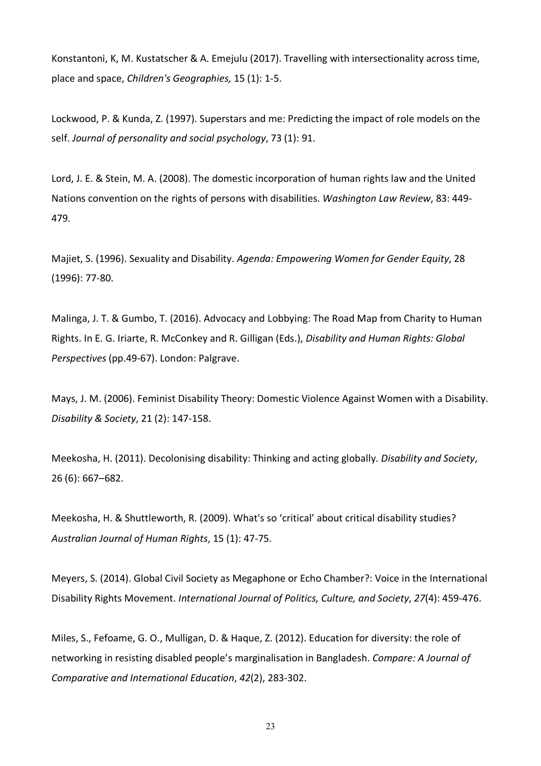Konstantoni, K, M. Kustatscher & A. Emejulu (2017). Travelling with intersectionality across time, place and space, *Children's Geographies,* 15 (1): 1-5.

Lockwood, P. & Kunda, Z. (1997). Superstars and me: Predicting the impact of role models on the self. *Journal of personality and social psychology*, 73 (1): 91.

Lord, J. E. & Stein, M. A. (2008). The domestic incorporation of human rights law and the United Nations convention on the rights of persons with disabilities. *Washington Law Review*, 83: 449- 479.

Majiet, S. (1996). Sexuality and Disability. *Agenda: Empowering Women for Gender Equity*, 28 (1996): 77-80.

Malinga, J. T. & Gumbo, T. (2016). Advocacy and Lobbying: The Road Map from Charity to Human Rights. In E. G. Iriarte, R. McConkey and R. Gilligan (Eds.), *Disability and Human Rights: Global Perspectives* (pp.49-67). London: Palgrave.

Mays, J. M. (2006). Feminist Disability Theory: Domestic Violence Against Women with a Disability. *Disability & Society*, 21 (2): 147-158.

Meekosha, H. (2011). Decolonising disability: Thinking and acting globally. *Disability and Society*, 26 (6): 667–682.

Meekosha, H. & Shuttleworth, R. (2009). What's so 'critical' about critical disability studies? *Australian Journal of Human Rights*, 15 (1): 47-75.

Meyers, S. (2014). Global Civil Society as Megaphone or Echo Chamber?: Voice in the International Disability Rights Movement. *International Journal of Politics, Culture, and Society*, *27*(4): 459-476.

Miles, S., Fefoame, G. O., Mulligan, D. & Haque, Z. (2012). Education for diversity: the role of networking in resisting disabled people's marginalisation in Bangladesh. *Compare: A Journal of Comparative and International Education*, *42*(2), 283-302.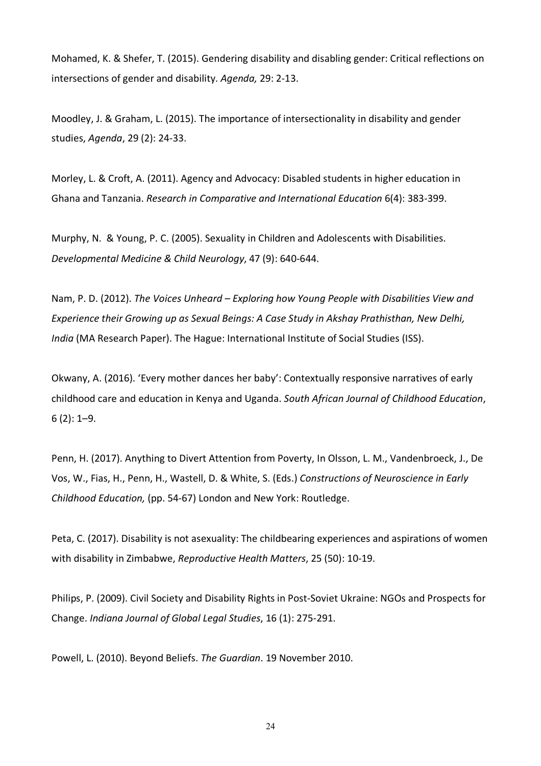Mohamed, K. & Shefer, T. (2015). Gendering disability and disabling gender: Critical reflections on intersections of gender and disability. *Agenda,* 29: 2-13.

Moodley, J. & Graham, L. (2015). The importance of intersectionality in disability and gender studies, *Agenda*, 29 (2): 24-33.

Morley, L. & Croft, A. (2011). Agency and Advocacy: Disabled students in higher education in Ghana and Tanzania. *Research in Comparative and International Education* 6(4): 383-399.

Murphy, N. & Young, P. C. (2005). Sexuality in Children and Adolescents with Disabilities. *Developmental Medicine & Child Neurology*, 47 (9): 640-644.

Nam, P. D. (2012). *The Voices Unheard – Exploring how Young People with Disabilities View and Experience their Growing up as Sexual Beings: A Case Study in Akshay Prathisthan, New Delhi, India* (MA Research Paper). The Hague: International Institute of Social Studies (ISS).

Okwany, A. (2016). 'Every mother dances her baby': Contextually responsive narratives of early childhood care and education in Kenya and Uganda. *South African Journal of Childhood Education*,  $6(2): 1-9.$ 

Penn, H. (2017). Anything to Divert Attention from Poverty, In Olsson, L. M., Vandenbroeck, J., De Vos, W., Fias, H., Penn, H., Wastell, D. & White, S. (Eds.) *Constructions of Neuroscience in Early Childhood Education,* (pp. 54-67) London and New York: Routledge.

Peta, C. (2017). Disability is not asexuality: The childbearing experiences and aspirations of women with disability in Zimbabwe, *Reproductive Health Matters*, 25 (50): 10-19.

Philips, P. (2009). Civil Society and Disability Rights in Post-Soviet Ukraine: NGOs and Prospects for Change. *Indiana Journal of Global Legal Studies*, 16 (1): 275-291.

Powell, L. (2010). Beyond Beliefs. *The Guardian*. 19 November 2010.